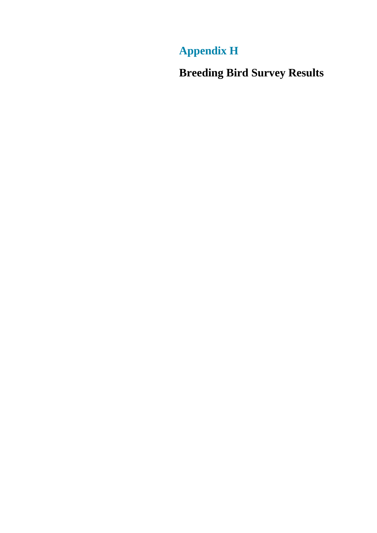## **Appendix H**

**Breeding Bird Survey Results**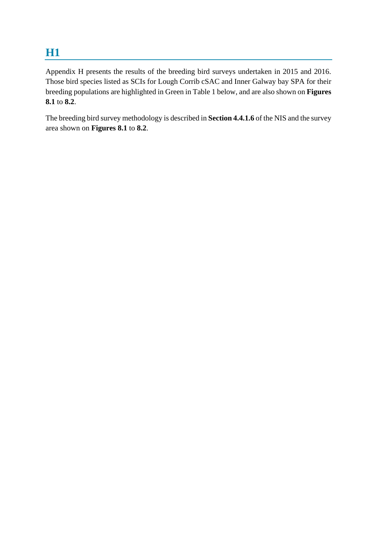## **H1**

Appendix H presents the results of the breeding bird surveys undertaken in 2015 and 2016. Those bird species listed as SCIs for Lough Corrib cSAC and Inner Galway bay SPA for their breeding populations are highlighted in Green in Table 1 below, and are also shown on **Figures 8.1** to **8.2**.

The breeding bird survey methodology is described in **Section 4.4.1.6** of the NIS and the survey area shown on **Figures 8.1** to **8.2**.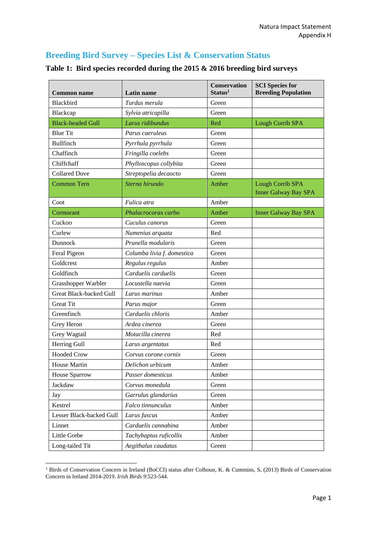## **Breeding Bird Survey – Species List & Conservation Status**

| <b>Common name</b>       | Latin name                 | <b>Conservation</b><br>Status <sup>1</sup> | <b>SCI</b> Species for<br><b>Breeding Population</b>   |
|--------------------------|----------------------------|--------------------------------------------|--------------------------------------------------------|
| Blackbird                | Turdus merula              | Green                                      |                                                        |
| Blackcap                 | Sylvia atricapilla         | Green                                      |                                                        |
| <b>Black-headed Gull</b> | Larus ridibundus           | Red                                        | Lough Corrib SPA                                       |
| <b>Blue Tit</b>          | Parus caeruleus            | Green                                      |                                                        |
| <b>Bullfinch</b>         | Pyrrhula pyrrhula          | Green                                      |                                                        |
| Chaffinch                | Fringilla coelebs          | Green                                      |                                                        |
| Chiffchaff               | Phylloscopus collybita     | Green                                      |                                                        |
| <b>Collared Dove</b>     | Streptopelia decaocto      | Green                                      |                                                        |
| <b>Common Tern</b>       | Sterna hirundo             | Amber                                      | <b>Lough Corrib SPA</b><br><b>Inner Galway Bay SPA</b> |
| Coot                     | Fulica atra                | Amber                                      |                                                        |
| Cormorant                | Phalacrocorax carbo        | Amber                                      | <b>Inner Galway Bay SPA</b>                            |
| Cuckoo                   | Cuculus canorus            | Green                                      |                                                        |
| Curlew                   | Numenius arquata           | Red                                        |                                                        |
| Dunnock                  | Prunella modularis         | Green                                      |                                                        |
| Feral Pigeon             | Columba livia f. domestica | Green                                      |                                                        |
| Goldcrest                | Regulus regulus            | Amber                                      |                                                        |
| Goldfinch                | Carduelis carduelis        | Green                                      |                                                        |
| Grasshopper Warbler      | Locustella naevia          | Green                                      |                                                        |
| Great Black-backed Gull  | Larus marinus              | Amber                                      |                                                        |
| <b>Great Tit</b>         | Parus major                | Green                                      |                                                        |
| Greenfinch               | Carduelis chloris          | Amber                                      |                                                        |
| Grey Heron               | Ardea cinerea              | Green                                      |                                                        |
| Grey Wagtail             | Motacilla cinerea          | Red                                        |                                                        |
| Herring Gull             | Larus argentatus           | Red                                        |                                                        |
| <b>Hooded Crow</b>       | Corvus corone cornix       | Green                                      |                                                        |
| House Martin             | Delichon urbicum           | Amber                                      |                                                        |
| <b>House Sparrow</b>     | Passer domesticus          | Amber                                      |                                                        |
| Jackdaw                  | Corvus monedula            | Green                                      |                                                        |
| Jay                      | Garrulus glandarius        | Green                                      |                                                        |
| Kestrel                  | Falco tinnunculus          | Amber                                      |                                                        |
| Lesser Black-backed Gull | Larus fuscus               | Amber                                      |                                                        |
| Linnet                   | Carduelis cannabina        | Amber                                      |                                                        |
| Little Grebe             | Tachybaptus ruficollis     | Amber                                      |                                                        |
| Long-tailed Tit          | Aegithalus caudatus        | Green                                      |                                                        |

## **Table 1: Bird species recorded during the 2015 & 2016 breeding bird surveys**

**.** 

<sup>1</sup> Birds of Conservation Concern in Ireland (BoCCI) status after Colhoun, K. & Cummins, S**.** (2013) Birds of Conservation Concern in Ireland 2014-2019. *Irish Birds 9*:523-544.